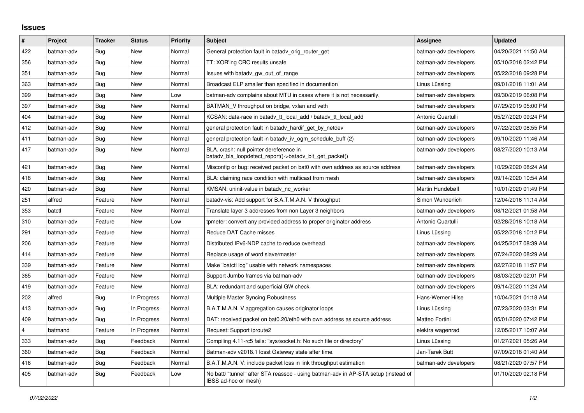## **Issues**

| #              | Project    | <b>Tracker</b> | <b>Status</b> | <b>Priority</b> | <b>Subject</b>                                                                                            | <b>Assignee</b>       | <b>Updated</b>      |
|----------------|------------|----------------|---------------|-----------------|-----------------------------------------------------------------------------------------------------------|-----------------------|---------------------|
| 422            | batman-adv | Bug            | New           | Normal          | General protection fault in batady orig router get                                                        | batman-adv developers | 04/20/2021 11:50 AM |
| 356            | batman-adv | Bug            | New           | Normal          | TT: XOR'ing CRC results unsafe                                                                            | batman-adv developers | 05/10/2018 02:42 PM |
| 351            | batman-adv | Bug            | New           | Normal          | Issues with batady gw out of range                                                                        | batman-adv developers | 05/22/2018 09:28 PM |
| 363            | batman-adv | Bug            | New           | Normal          | Broadcast ELP smaller than specified in documention                                                       | Linus Lüssing         | 09/01/2018 11:01 AM |
| 399            | batman-adv | Bug            | New           | Low             | batman-adv complains about MTU in cases where it is not necessarily.                                      | batman-adv developers | 09/30/2019 06:08 PM |
| 397            | batman-adv | Bug            | New           | Normal          | BATMAN_V throughput on bridge, vxlan and veth                                                             | batman-adv developers | 07/29/2019 05:00 PM |
| 404            | batman-adv | Bug            | <b>New</b>    | Normal          | KCSAN: data-race in batady tt local add / batady tt local add                                             | Antonio Quartulli     | 05/27/2020 09:24 PM |
| 412            | batman-adv | Bug            | New           | Normal          | general protection fault in batady_hardif_get_by_netdev                                                   | batman-adv developers | 07/22/2020 08:55 PM |
| 411            | batman-adv | <b>Bug</b>     | New           | Normal          | general protection fault in batady iv ogm schedule buff (2)                                               | batman-adv developers | 09/10/2020 11:46 AM |
| 417            | batman-adv | Bug            | New           | Normal          | BLA, crash: null pointer dereference in<br>batady bla loopdetect report()->batady bit get packet()        | batman-adv developers | 08/27/2020 10:13 AM |
| 421            | batman-adv | Bug            | <b>New</b>    | Normal          | Misconfig or bug: received packet on bat0 with own address as source address                              | batman-adv developers | 10/29/2020 08:24 AM |
| 418            | batman-adv | Bug            | New           | Normal          | BLA: claiming race condition with multicast from mesh                                                     | batman-adv developers | 09/14/2020 10:54 AM |
| 420            | batman-adv | Bug            | <b>New</b>    | Normal          | KMSAN: uninit-value in batady_nc_worker                                                                   | Martin Hundebøll      | 10/01/2020 01:49 PM |
| 251            | alfred     | Feature        | New           | Normal          | batady-vis: Add support for B.A.T.M.A.N. V throughput                                                     | Simon Wunderlich      | 12/04/2016 11:14 AM |
| 353            | batctl     | Feature        | New           | Normal          | Translate layer 3 addresses from non Layer 3 neighbors                                                    | batman-adv developers | 08/12/2021 01:58 AM |
| 310            | batman-adv | Feature        | New           | Low             | tpmeter: convert any provided address to proper originator address                                        | Antonio Quartulli     | 02/28/2018 10:18 AM |
| 291            | batman-adv | Feature        | New           | Normal          | Reduce DAT Cache misses                                                                                   | Linus Lüssing         | 05/22/2018 10:12 PM |
| 206            | batman-adv | Feature        | New           | Normal          | Distributed IPv6-NDP cache to reduce overhead                                                             | batman-adv developers | 04/25/2017 08:39 AM |
| 414            | batman-adv | Feature        | New           | Normal          | Replace usage of word slave/master                                                                        | batman-adv developers | 07/24/2020 08:29 AM |
| 339            | batman-adv | Feature        | <b>New</b>    | Normal          | Make "batctl log" usable with network namespaces                                                          | batman-adv developers | 02/27/2018 11:57 PM |
| 365            | batman-adv | Feature        | <b>New</b>    | Normal          | Support Jumbo frames via batman-adv                                                                       | batman-adv developers | 08/03/2020 02:01 PM |
| 419            | batman-adv | Feature        | New           | Normal          | BLA: redundant and superficial GW check                                                                   | batman-adv developers | 09/14/2020 11:24 AM |
| 202            | alfred     | Bug            | In Progress   | Normal          | Multiple Master Syncing Robustness                                                                        | Hans-Werner Hilse     | 10/04/2021 01:18 AM |
| 413            | batman-adv | <b>Bug</b>     | In Progress   | Normal          | B.A.T.M.A.N. V aggregation causes originator loops                                                        | Linus Lüssing         | 07/23/2020 03:31 PM |
| 409            | batman-adv | Bug            | In Progress   | Normal          | DAT: received packet on bat0.20/eth0 with own address as source address                                   | Matteo Fortini        | 05/01/2020 07:42 PM |
| $\overline{4}$ | batmand    | Feature        | In Progress   | Normal          | Request: Support iproute2                                                                                 | elektra wagenrad      | 12/05/2017 10:07 AM |
| 333            | batman-adv | Bug            | Feedback      | Normal          | Compiling 4.11-rc5 fails: "sys/socket.h: No such file or directory"                                       | Linus Lüssing         | 01/27/2021 05:26 AM |
| 360            | batman-adv | Bug            | Feedback      | Normal          | Batman-adv v2018.1 losst Gateway state after time.                                                        | Jan-Tarek Butt        | 07/09/2018 01:40 AM |
| 416            | batman-adv | <b>Bug</b>     | Feedback      | Normal          | B.A.T.M.A.N. V: include packet loss in link throughput estimation                                         | batman-adv developers | 08/21/2020 07:57 PM |
| 405            | batman-adv | Bug            | Feedback      | Low             | No bat0 "tunnel" after STA reassoc - using batman-adv in AP-STA setup (instead of<br>IBSS ad-hoc or mesh) |                       | 01/10/2020 02:18 PM |